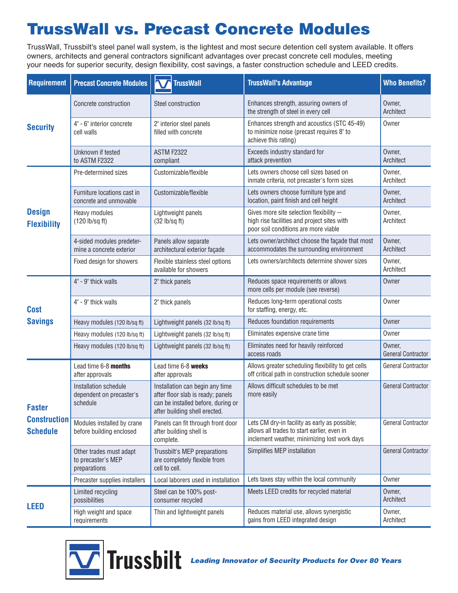# **TrussWall vs. Precast Concrete Modules**

TrussWall, Trussbilt's steel panel wall system, is the lightest and most secure detention cell system available. It offers owners, architects and general contractors significant advantages over precast concrete cell modules, meeting your needs for superior security, design flexibility, cost savings, a faster construction schedule and LEED credits.

| <b>Requirement</b>                                      | <b>Precast Concrete Modules</b>                               | <b>TrussWall</b>                                                                                                                            | <b>TrussWall's Advantage</b>                                                                                                                 | <b>Who Benefits?</b>                |
|---------------------------------------------------------|---------------------------------------------------------------|---------------------------------------------------------------------------------------------------------------------------------------------|----------------------------------------------------------------------------------------------------------------------------------------------|-------------------------------------|
| <b>Security</b>                                         | Concrete construction                                         | Steel construction                                                                                                                          | Enhances strength, assuring owners of<br>the strength of steel in every cell                                                                 | Owner,<br>Architect                 |
|                                                         | 4" - 6" interior concrete<br>cell walls                       | 2" interior steel panels<br>filled with concrete                                                                                            | Enhances strength and acoustics (STC 45-49)<br>to minimize noise (precast requires 8" to<br>achieve this rating)                             | Owner                               |
|                                                         | Unknown if tested<br>to ASTM F2322                            | ASTM F2322<br>compliant                                                                                                                     | Exceeds industry standard for<br>attack prevention                                                                                           | Owner,<br>Architect                 |
| <b>Design</b><br><b>Flexibility</b>                     | Pre-determined sizes                                          | Customizable/flexible                                                                                                                       | Lets owners choose cell sizes based on<br>inmate criteria, not precaster's form sizes                                                        | Owner,<br>Architect                 |
|                                                         | Furniture locations cast in<br>concrete and unmovable         | Customizable/flexible                                                                                                                       | Lets owners choose furniture type and<br>location, paint finish and cell height                                                              | Owner,<br>Architect                 |
|                                                         | Heavy modules<br>(120 lb/sq ft)                               | Lightweight panels<br>(32 lb/sq ft)                                                                                                         | Gives more site selection flexibility --<br>high rise facilities and project sites with<br>poor soil conditions are more viable              | Owner,<br>Architect                 |
|                                                         | 4-sided modules predeter-<br>mine a concrete exterior         | Panels allow separate<br>architectural exterior façade                                                                                      | Lets owner/architect choose the façade that most<br>accommodates the surrounding environment                                                 | Owner,<br>Architect                 |
|                                                         | Fixed design for showers                                      | Flexible stainless steel options<br>available for showers                                                                                   | Lets owners/architects determine shower sizes                                                                                                | Owner,<br>Architect                 |
| <b>Cost</b><br><b>Savings</b>                           | 4" - 9" thick walls                                           | 2" thick panels                                                                                                                             | Reduces space requirements or allows<br>more cells per module (see reverse)                                                                  | Owner                               |
|                                                         | 4" - 9" thick walls                                           | 2" thick panels                                                                                                                             | Reduces long-term operational costs<br>for staffing, energy, etc.                                                                            | Owner                               |
|                                                         | Heavy modules (120 lb/sq ft)                                  | Lightweight panels (32 lb/sq ft)                                                                                                            | Reduces foundation requirements                                                                                                              | Owner                               |
|                                                         | Heavy modules (120 lb/sq ft)                                  | Lightweight panels (32 lb/sq ft)                                                                                                            | Eliminates expensive crane time                                                                                                              | Owner                               |
|                                                         | Heavy modules (120 lb/sq ft)                                  | Lightweight panels (32 lb/sq ft)                                                                                                            | Eliminates need for heavily reinforced<br>access roads                                                                                       | Owner,<br><b>General Contractor</b> |
| <b>Faster</b><br><b>Construction</b><br><b>Schedule</b> | Lead time 6-8 months<br>after approvals                       | Lead time 6-8 weeks<br>after approvals                                                                                                      | Allows greater scheduling flexibility to get cells<br>off critical path in construction schedule sooner                                      | General Contractor                  |
|                                                         | Installation schedule<br>dependent on precaster's<br>schedule | Installation can begin any time<br>after floor slab is ready; panels<br>can be installed before, during or<br>after building shell erected. | Allows difficult schedules to be met<br>more easily                                                                                          | <b>General Contractor</b>           |
|                                                         | Modules installed by crane<br>before building enclosed        | Panels can fit through front door<br>after building shell is<br>complete.                                                                   | Lets CM dry-in facility as early as possible;<br>allows all trades to start earlier, even in<br>inclement weather, minimizing lost work days | General Contractor                  |
|                                                         | Other trades must adapt<br>to precaster's MEP<br>preparations | Trussbilt's MEP preparations<br>are completely flexible from<br>cell to cell.                                                               | Simplifies MEP installation                                                                                                                  | <b>General Contractor</b>           |
|                                                         | Precaster supplies installers                                 | Local laborers used in installation                                                                                                         | Lets taxes stay within the local community                                                                                                   | Owner                               |
| <b>LEED</b>                                             | Limited recycling<br>possibilities                            | Steel can be 100% post-<br>consumer recycled                                                                                                | Meets LEED credits for recycled material                                                                                                     | Owner,<br>Architect                 |
|                                                         | High weight and space<br>requirements                         | Thin and lightweight panels                                                                                                                 | Reduces material use, allows synergistic<br>gains from LEED integrated design                                                                | Owner,<br>Architect                 |